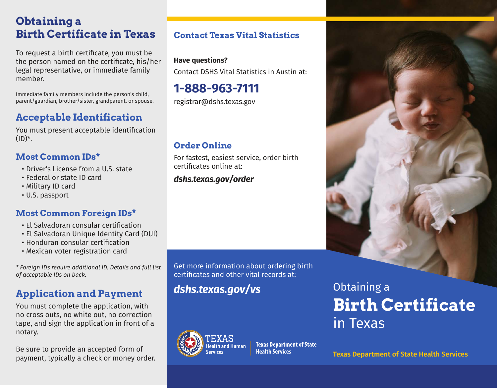## **Obtaining a Birth Certificate in Texas**

To request a birth certificate, you must be the person named on the certificate, his/her legal representative, or immediate family member.

Immediate family members include the person's child, parent/guardian, brother/sister, grandparent, or spouse.

## **Acceptable Identification**

You must present acceptable identification  $(ID)^*$ .

### **Most Common IDs\***

- Driver's License from a U.S. state
- Federal or state ID card
- Military ID card
- U.S. passport

### **Most Common Foreign IDs\***

- El Salvadoran consular certification
- El Salvadoran Unique Identity Card (DUI)
- Honduran consular certification
- Mexican voter registration card

*\* Foreign IDs require additional ID. Details and full list of acceptable IDs on back.*

## **Application and Payment**

You must complete the application, with no cross outs, no white out, no correction tape, and sign the application in front of a notary.

Be sure to provide an accepted form of payment, typically a check or money order. **Texas Department of State Health Services**

## **Contact Texas Vital Statistics**

### **Have questions?**

Contact DSHS Vital Statistics in Austin at:

# **1-888-963-7111**

registrar@dshs.texas.gov

## **Order Online**

For fastest, easiest service, order birth certificates online at:

### *dshs.texas.gov/order*

Get more information about ordering birth certificates and other vital records at:

*dshs.texas.gov/vs*



**Texas Department of State** 



# Obtaining a **Birth Certificate** in Texas